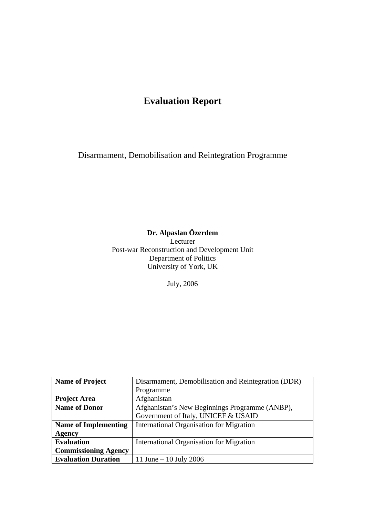# **Evaluation Report**

Disarmament, Demobilisation and Reintegration Programme

## **Dr. Alpaslan Özerdem**

Lecturer Post-war Reconstruction and Development Unit Department of Politics University of York, UK

July, 2006

| <b>Name of Project</b>      | Disarmament, Demobilisation and Reintegration (DDR) |  |  |  |  |  |
|-----------------------------|-----------------------------------------------------|--|--|--|--|--|
|                             | Programme                                           |  |  |  |  |  |
| <b>Project Area</b>         | Afghanistan                                         |  |  |  |  |  |
| <b>Name of Donor</b>        | Afghanistan's New Beginnings Programme (ANBP),      |  |  |  |  |  |
|                             | Government of Italy, UNICEF & USAID                 |  |  |  |  |  |
| <b>Name of Implementing</b> | <b>International Organisation for Migration</b>     |  |  |  |  |  |
| Agency                      |                                                     |  |  |  |  |  |
| <b>Evaluation</b>           | International Organisation for Migration            |  |  |  |  |  |
| <b>Commissioning Agency</b> |                                                     |  |  |  |  |  |
| <b>Evaluation Duration</b>  | 11 June $-$ 10 July 2006                            |  |  |  |  |  |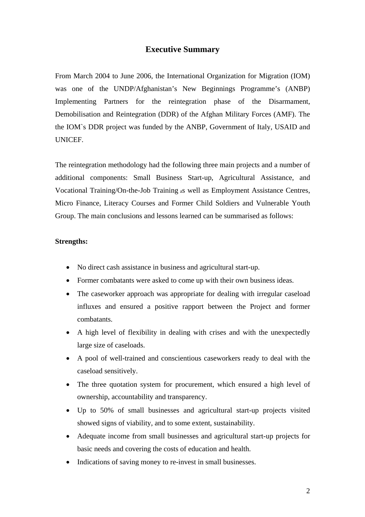### **Executive Summary**

From March 2004 to June 2006, the International Organization for Migration (IOM) was one of the UNDP/Afghanistan's New Beginnings Programme's (ANBP) Implementing Partners for the reintegration phase of the Disarmament, Demobilisation and Reintegration (DDR) of the Afghan Military Forces (AMF). The the IOM`s DDR project was funded by the ANBP, Government of Italy, USAID and UNICEF.

The reintegration methodology had the following three main projects and a number of additional components: Small Business Start-up, Agricultural Assistance, and Vocational Training/On-the-Job Training as well as Employment Assistance Centres, Micro Finance, Literacy Courses and Former Child Soldiers and Vulnerable Youth Group. The main conclusions and lessons learned can be summarised as follows:

#### **Strengths:**

- No direct cash assistance in business and agricultural start-up.
- Former combatants were asked to come up with their own business ideas.
- The caseworker approach was appropriate for dealing with irregular caseload influxes and ensured a positive rapport between the Project and former combatants.
- A high level of flexibility in dealing with crises and with the unexpectedly large size of caseloads.
- A pool of well-trained and conscientious caseworkers ready to deal with the caseload sensitively.
- The three quotation system for procurement, which ensured a high level of ownership, accountability and transparency.
- Up to 50% of small businesses and agricultural start-up projects visited showed signs of viability, and to some extent, sustainability.
- Adequate income from small businesses and agricultural start-up projects for basic needs and covering the costs of education and health.
- Indications of saving money to re-invest in small businesses.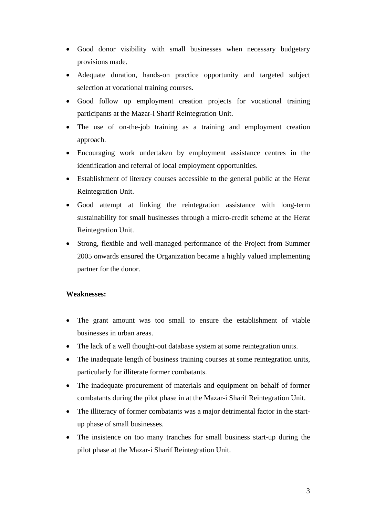- Good donor visibility with small businesses when necessary budgetary provisions made.
- Adequate duration, hands-on practice opportunity and targeted subject selection at vocational training courses.
- Good follow up employment creation projects for vocational training participants at the Mazar-i Sharif Reintegration Unit.
- The use of on-the-job training as a training and employment creation approach.
- Encouraging work undertaken by employment assistance centres in the identification and referral of local employment opportunities.
- Establishment of literacy courses accessible to the general public at the Herat Reintegration Unit.
- Good attempt at linking the reintegration assistance with long-term sustainability for small businesses through a micro-credit scheme at the Herat Reintegration Unit.
- Strong, flexible and well-managed performance of the Project from Summer 2005 onwards ensured the Organization became a highly valued implementing partner for the donor.

### **Weaknesses:**

- The grant amount was too small to ensure the establishment of viable businesses in urban areas.
- The lack of a well thought-out database system at some reintegration units.
- The inadequate length of business training courses at some reintegration units, particularly for illiterate former combatants.
- The inadequate procurement of materials and equipment on behalf of former combatants during the pilot phase in at the Mazar-i Sharif Reintegration Unit.
- The illiteracy of former combatants was a major detrimental factor in the startup phase of small businesses.
- The insistence on too many tranches for small business start-up during the pilot phase at the Mazar-i Sharif Reintegration Unit.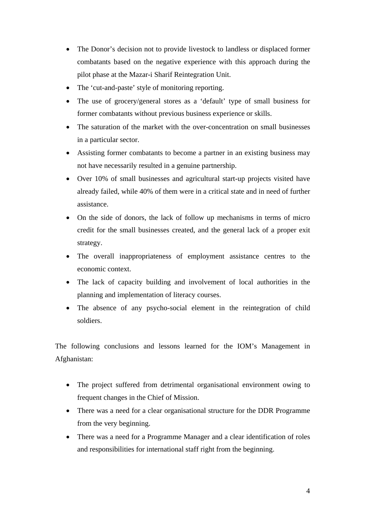- The Donor's decision not to provide livestock to landless or displaced former combatants based on the negative experience with this approach during the pilot phase at the Mazar-i Sharif Reintegration Unit.
- The 'cut-and-paste' style of monitoring reporting.
- The use of grocery/general stores as a 'default' type of small business for former combatants without previous business experience or skills.
- The saturation of the market with the over-concentration on small businesses in a particular sector.
- Assisting former combatants to become a partner in an existing business may not have necessarily resulted in a genuine partnership.
- Over 10% of small businesses and agricultural start-up projects visited have already failed, while 40% of them were in a critical state and in need of further assistance.
- On the side of donors, the lack of follow up mechanisms in terms of micro credit for the small businesses created, and the general lack of a proper exit strategy.
- The overall inappropriateness of employment assistance centres to the economic context.
- The lack of capacity building and involvement of local authorities in the planning and implementation of literacy courses.
- The absence of any psycho-social element in the reintegration of child soldiers.

The following conclusions and lessons learned for the IOM's Management in Afghanistan:

- The project suffered from detrimental organisational environment owing to frequent changes in the Chief of Mission.
- There was a need for a clear organisational structure for the DDR Programme from the very beginning.
- There was a need for a Programme Manager and a clear identification of roles and responsibilities for international staff right from the beginning.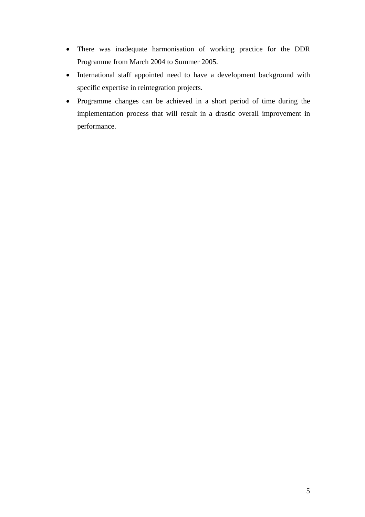- There was inadequate harmonisation of working practice for the DDR Programme from March 2004 to Summer 2005.
- International staff appointed need to have a development background with specific expertise in reintegration projects.
- Programme changes can be achieved in a short period of time during the implementation process that will result in a drastic overall improvement in performance.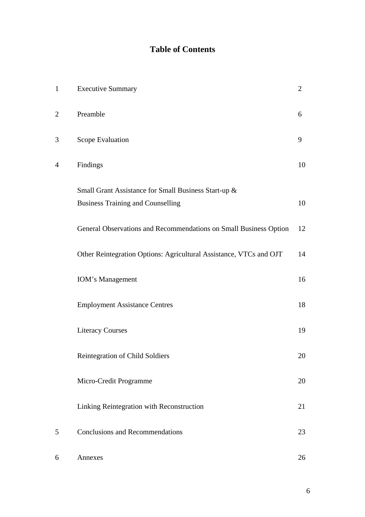## **Table of Contents**

| $\mathbf{1}$   | <b>Executive Summary</b>                                                                         | $\overline{2}$ |
|----------------|--------------------------------------------------------------------------------------------------|----------------|
| $\overline{2}$ | Preamble                                                                                         | 6              |
| 3              | Scope Evaluation                                                                                 | 9              |
| $\overline{4}$ | Findings                                                                                         | 10             |
|                | Small Grant Assistance for Small Business Start-up &<br><b>Business Training and Counselling</b> | 10             |
|                | General Observations and Recommendations on Small Business Option                                | 12             |
|                | Other Reintegration Options: Agricultural Assistance, VTCs and OJT                               | 14             |
|                | <b>IOM's Management</b>                                                                          | 16             |
|                | <b>Employment Assistance Centres</b>                                                             | 18             |
|                | <b>Literacy Courses</b>                                                                          | 19             |
|                | Reintegration of Child Soldiers                                                                  | 20             |
|                | Micro-Credit Programme                                                                           | 20             |
|                | Linking Reintegration with Reconstruction                                                        | 21             |
| 5              | <b>Conclusions and Recommendations</b>                                                           | 23             |
| 6              | Annexes                                                                                          | 26             |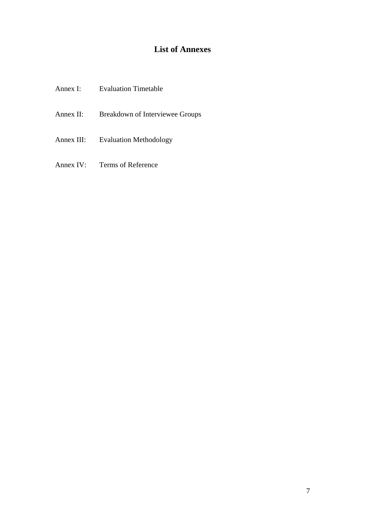# **List of Annexes**

| Annex I:   | <b>Evaluation Timetable</b>     |
|------------|---------------------------------|
| Annex II:  | Breakdown of Interviewee Groups |
| Annex III: | <b>Evaluation Methodology</b>   |
|            |                                 |

Annex IV: Terms of Reference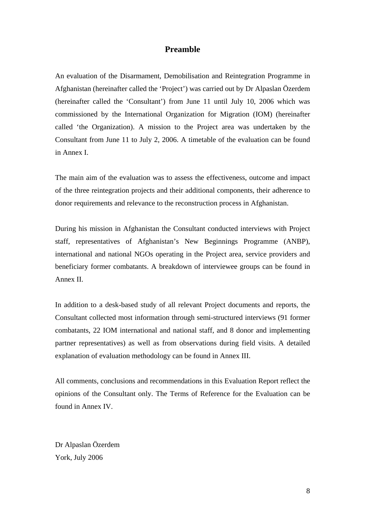### **Preamble**

An evaluation of the Disarmament, Demobilisation and Reintegration Programme in Afghanistan (hereinafter called the 'Project') was carried out by Dr Alpaslan Özerdem (hereinafter called the 'Consultant') from June 11 until July 10, 2006 which was commissioned by the International Organization for Migration (IOM) (hereinafter called 'the Organization). A mission to the Project area was undertaken by the Consultant from June 11 to July 2, 2006. A timetable of the evaluation can be found in Annex I.

The main aim of the evaluation was to assess the effectiveness, outcome and impact of the three reintegration projects and their additional components, their adherence to donor requirements and relevance to the reconstruction process in Afghanistan.

During his mission in Afghanistan the Consultant conducted interviews with Project staff, representatives of Afghanistan's New Beginnings Programme (ANBP), international and national NGOs operating in the Project area, service providers and beneficiary former combatants. A breakdown of interviewee groups can be found in Annex II.

In addition to a desk-based study of all relevant Project documents and reports, the Consultant collected most information through semi-structured interviews (91 former combatants, 22 IOM international and national staff, and 8 donor and implementing partner representatives) as well as from observations during field visits. A detailed explanation of evaluation methodology can be found in Annex III.

All comments, conclusions and recommendations in this Evaluation Report reflect the opinions of the Consultant only. The Terms of Reference for the Evaluation can be found in Annex IV.

Dr Alpaslan Özerdem York, July 2006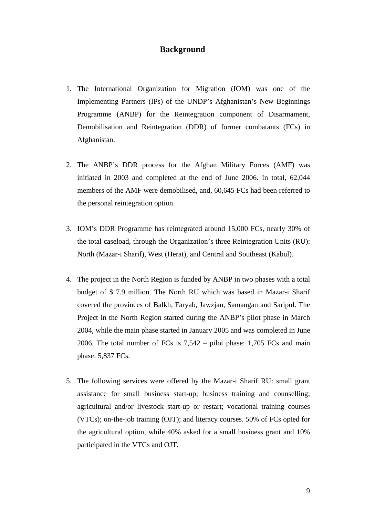#### **Background**

- 1. The International Organization for Migration (IOM) was one of the Implementing Partners (IPs) of the UNDP's Afghanistan's New Beginnings Programme (ANBP) for the Reintegration component of Disarmament, Demobilisation and Reintegration (DDR) of former combatants (FCs) in Afghanistan.
- 2. The ANBP's DDR process for the Afghan Military Forces (AMF) was initiated in 2003 and completed at the end of June 2006. In total, 62,044 members of the AMF were demobilised, and, 60,645 FCs had been referred to the personal reintegration option.
- 3. IOM's DDR Programme has reintegrated around 15,000 FCs, nearly 30% of the total caseload, through the Organization's three Reintegration Units (RU): North (Mazar-i Sharif), West (Herat), and Central and Southeast (Kabul).
- 4. The project in the North Region is funded by ANBP in two phases with a total budget of \$ 7.9 million. The North RU which was based in Mazar-i Sharif covered the provinces of Balkh, Faryab, Jawzjan, Samangan and Saripul. The Project in the North Region started during the ANBP's pilot phase in March 2004, while the main phase started in January 2005 and was completed in June 2006. The total number of FCs is 7,542 – pilot phase: 1,705 FCs and main phase: 5,837 FCs.
- 5. The following services were offered by the Mazar-i Sharif RU: small grant assistance for small business start-up; business training and counselling; agricultural and/or livestock start-up or restart; vocational training courses (VTCs); on-the-job training (OJT); and literacy courses. 50% of FCs opted for the agricultural option, while 40% asked for a small business grant and 10% participated in the VTCs and OJT.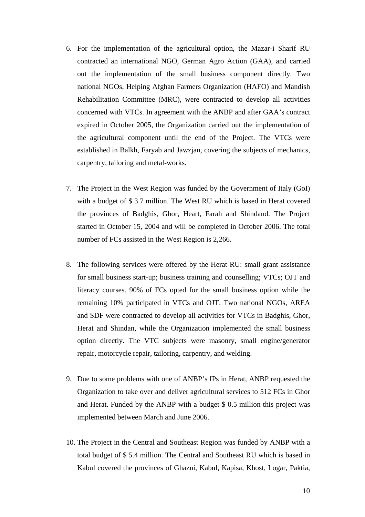- 6. For the implementation of the agricultural option, the Mazar-i Sharif RU contracted an international NGO, German Agro Action (GAA), and carried out the implementation of the small business component directly. Two national NGOs, Helping Afghan Farmers Organization (HAFO) and Mandish Rehabilitation Committee (MRC), were contracted to develop all activities concerned with VTCs. In agreement with the ANBP and after GAA's contract expired in October 2005, the Organization carried out the implementation of the agricultural component until the end of the Project. The VTCs were established in Balkh, Faryab and Jawzjan, covering the subjects of mechanics, carpentry, tailoring and metal-works.
- 7. The Project in the West Region was funded by the Government of Italy (GoI) with a budget of \$ 3.7 million. The West RU which is based in Herat covered the provinces of Badghis, Ghor, Heart, Farah and Shindand. The Project started in October 15, 2004 and will be completed in October 2006. The total number of FCs assisted in the West Region is 2,266.
- 8. The following services were offered by the Herat RU: small grant assistance for small business start-up; business training and counselling; VTCs; OJT and literacy courses. 90% of FCs opted for the small business option while the remaining 10% participated in VTCs and OJT. Two national NGOs, AREA and SDF were contracted to develop all activities for VTCs in Badghis, Ghor, Herat and Shindan, while the Organization implemented the small business option directly. The VTC subjects were masonry, small engine/generator repair, motorcycle repair, tailoring, carpentry, and welding.
- 9. Due to some problems with one of ANBP's IPs in Herat, ANBP requested the Organization to take over and deliver agricultural services to 512 FCs in Ghor and Herat. Funded by the ANBP with a budget \$ 0.5 million this project was implemented between March and June 2006.
- 10. The Project in the Central and Southeast Region was funded by ANBP with a total budget of \$ 5.4 million. The Central and Southeast RU which is based in Kabul covered the provinces of Ghazni, Kabul, Kapisa, Khost, Logar, Paktia,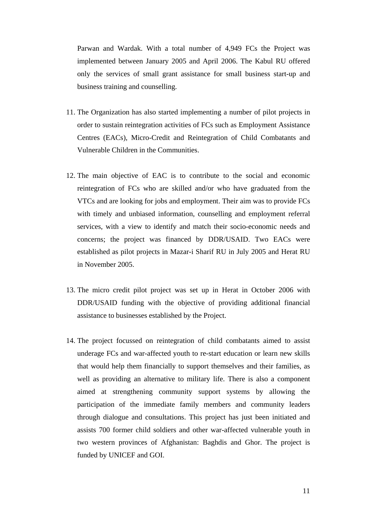Parwan and Wardak. With a total number of 4,949 FCs the Project was implemented between January 2005 and April 2006. The Kabul RU offered only the services of small grant assistance for small business start-up and business training and counselling.

- 11. The Organization has also started implementing a number of pilot projects in order to sustain reintegration activities of FCs such as Employment Assistance Centres (EACs), Micro-Credit and Reintegration of Child Combatants and Vulnerable Children in the Communities.
- 12. The main objective of EAC is to contribute to the social and economic reintegration of FCs who are skilled and/or who have graduated from the VTCs and are looking for jobs and employment. Their aim was to provide FCs with timely and unbiased information, counselling and employment referral services, with a view to identify and match their socio-economic needs and concerns; the project was financed by DDR/USAID. Two EACs were established as pilot projects in Mazar-i Sharif RU in July 2005 and Herat RU in November 2005.
- 13. The micro credit pilot project was set up in Herat in October 2006 with DDR/USAID funding with the objective of providing additional financial assistance to businesses established by the Project.
- 14. The project focussed on reintegration of child combatants aimed to assist underage FCs and war-affected youth to re-start education or learn new skills that would help them financially to support themselves and their families, as well as providing an alternative to military life. There is also a component aimed at strengthening community support systems by allowing the participation of the immediate family members and community leaders through dialogue and consultations. This project has just been initiated and assists 700 former child soldiers and other war-affected vulnerable youth in two western provinces of Afghanistan: Baghdis and Ghor. The project is funded by UNICEF and GOI.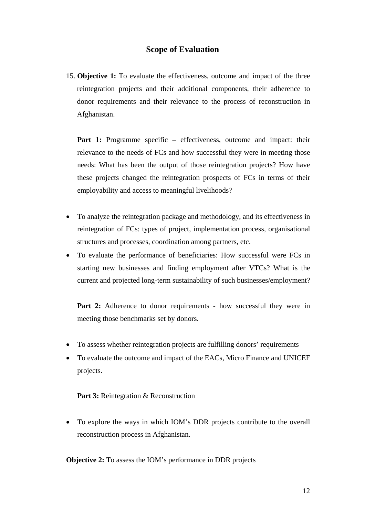### **Scope of Evaluation**

15. **Objective 1:** To evaluate the effectiveness, outcome and impact of the three reintegration projects and their additional components, their adherence to donor requirements and their relevance to the process of reconstruction in Afghanistan.

Part 1: Programme specific – effectiveness, outcome and impact: their relevance to the needs of FCs and how successful they were in meeting those needs: What has been the output of those reintegration projects? How have these projects changed the reintegration prospects of FCs in terms of their employability and access to meaningful livelihoods?

- To analyze the reintegration package and methodology, and its effectiveness in reintegration of FCs: types of project, implementation process, organisational structures and processes, coordination among partners, etc.
- To evaluate the performance of beneficiaries: How successful were FCs in starting new businesses and finding employment after VTCs? What is the current and projected long-term sustainability of such businesses/employment?

**Part 2:** Adherence to donor requirements - how successful they were in meeting those benchmarks set by donors.

- To assess whether reintegration projects are fulfilling donors' requirements
- To evaluate the outcome and impact of the EACs, Micro Finance and UNICEF projects.

#### **Part 3:** Reintegration & Reconstruction

• To explore the ways in which IOM's DDR projects contribute to the overall reconstruction process in Afghanistan.

**Objective 2:** To assess the IOM's performance in DDR projects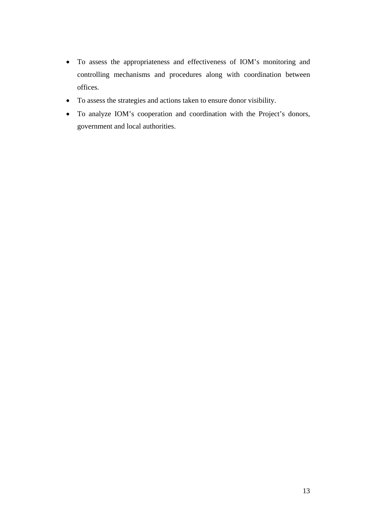- To assess the appropriateness and effectiveness of IOM's monitoring and controlling mechanisms and procedures along with coordination between offices.
- To assess the strategies and actions taken to ensure donor visibility.
- To analyze IOM's cooperation and coordination with the Project's donors, government and local authorities.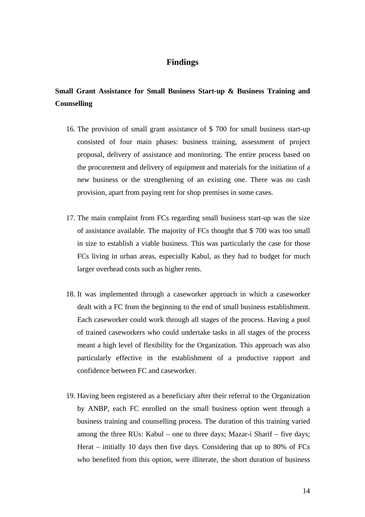### **Findings**

## **Small Grant Assistance for Small Business Start-up & Business Training and Counselling**

- 16. The provision of small grant assistance of \$ 700 for small business start-up consisted of four main phases: business training, assessment of project proposal, delivery of assistance and monitoring. The entire process based on the procurement and delivery of equipment and materials for the initiation of a new business or the strengthening of an existing one. There was no cash provision, apart from paying rent for shop premises in some cases.
- 17. The main complaint from FCs regarding small business start-up was the size of assistance available. The majority of FCs thought that \$ 700 was too small in size to establish a viable business. This was particularly the case for those FCs living in urban areas, especially Kabul, as they had to budget for much larger overhead costs such as higher rents.
- 18. It was implemented through a caseworker approach in which a caseworker dealt with a FC from the beginning to the end of small business establishment. Each caseworker could work through all stages of the process. Having a pool of trained caseworkers who could undertake tasks in all stages of the process meant a high level of flexibility for the Organization. This approach was also particularly effective in the establishment of a productive rapport and confidence between FC and caseworker.
- 19. Having been registered as a beneficiary after their referral to the Organization by ANBP, each FC enrolled on the small business option went through a business training and counselling process. The duration of this training varied among the three RUs: Kabul – one to three days; Mazar-i Sharif – five days; Herat – initially 10 days then five days. Considering that up to 80% of FCs who benefited from this option, were illiterate, the short duration of business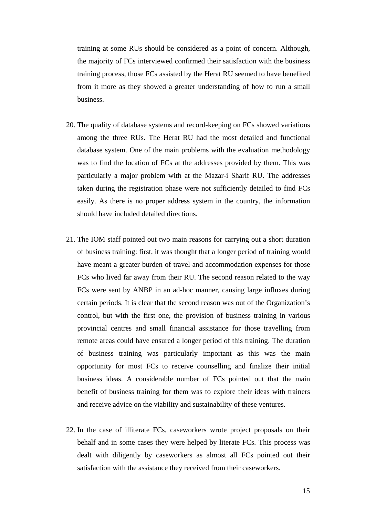training at some RUs should be considered as a point of concern. Although, the majority of FCs interviewed confirmed their satisfaction with the business training process, those FCs assisted by the Herat RU seemed to have benefited from it more as they showed a greater understanding of how to run a small business.

- 20. The quality of database systems and record-keeping on FCs showed variations among the three RUs. The Herat RU had the most detailed and functional database system. One of the main problems with the evaluation methodology was to find the location of FCs at the addresses provided by them. This was particularly a major problem with at the Mazar-i Sharif RU. The addresses taken during the registration phase were not sufficiently detailed to find FCs easily. As there is no proper address system in the country, the information should have included detailed directions.
- 21. The IOM staff pointed out two main reasons for carrying out a short duration of business training: first, it was thought that a longer period of training would have meant a greater burden of travel and accommodation expenses for those FCs who lived far away from their RU. The second reason related to the way FCs were sent by ANBP in an ad-hoc manner, causing large influxes during certain periods. It is clear that the second reason was out of the Organization's control, but with the first one, the provision of business training in various provincial centres and small financial assistance for those travelling from remote areas could have ensured a longer period of this training. The duration of business training was particularly important as this was the main opportunity for most FCs to receive counselling and finalize their initial business ideas. A considerable number of FCs pointed out that the main benefit of business training for them was to explore their ideas with trainers and receive advice on the viability and sustainability of these ventures.
- 22. In the case of illiterate FCs, caseworkers wrote project proposals on their behalf and in some cases they were helped by literate FCs. This process was dealt with diligently by caseworkers as almost all FCs pointed out their satisfaction with the assistance they received from their caseworkers.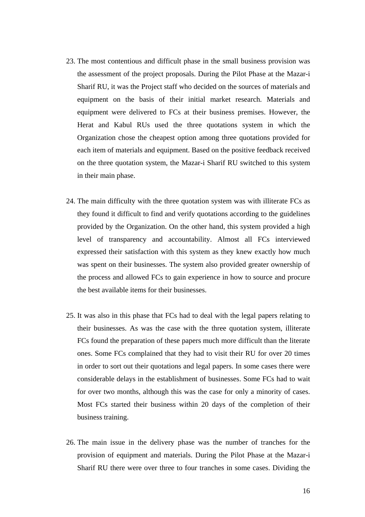- 23. The most contentious and difficult phase in the small business provision was the assessment of the project proposals. During the Pilot Phase at the Mazar-i Sharif RU, it was the Project staff who decided on the sources of materials and equipment on the basis of their initial market research. Materials and equipment were delivered to FCs at their business premises. However, the Herat and Kabul RUs used the three quotations system in which the Organization chose the cheapest option among three quotations provided for each item of materials and equipment. Based on the positive feedback received on the three quotation system, the Mazar-i Sharif RU switched to this system in their main phase.
- 24. The main difficulty with the three quotation system was with illiterate FCs as they found it difficult to find and verify quotations according to the guidelines provided by the Organization. On the other hand, this system provided a high level of transparency and accountability. Almost all FCs interviewed expressed their satisfaction with this system as they knew exactly how much was spent on their businesses. The system also provided greater ownership of the process and allowed FCs to gain experience in how to source and procure the best available items for their businesses.
- 25. It was also in this phase that FCs had to deal with the legal papers relating to their businesses. As was the case with the three quotation system, illiterate FCs found the preparation of these papers much more difficult than the literate ones. Some FCs complained that they had to visit their RU for over 20 times in order to sort out their quotations and legal papers. In some cases there were considerable delays in the establishment of businesses. Some FCs had to wait for over two months, although this was the case for only a minority of cases. Most FCs started their business within 20 days of the completion of their business training.
- 26. The main issue in the delivery phase was the number of tranches for the provision of equipment and materials. During the Pilot Phase at the Mazar-i Sharif RU there were over three to four tranches in some cases. Dividing the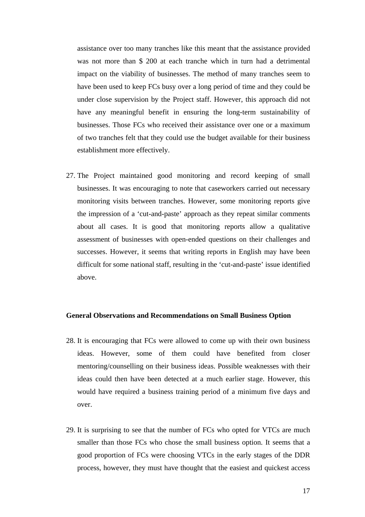assistance over too many tranches like this meant that the assistance provided was not more than \$ 200 at each tranche which in turn had a detrimental impact on the viability of businesses. The method of many tranches seem to have been used to keep FCs busy over a long period of time and they could be under close supervision by the Project staff. However, this approach did not have any meaningful benefit in ensuring the long-term sustainability of businesses. Those FCs who received their assistance over one or a maximum of two tranches felt that they could use the budget available for their business establishment more effectively.

27. The Project maintained good monitoring and record keeping of small businesses. It was encouraging to note that caseworkers carried out necessary monitoring visits between tranches. However, some monitoring reports give the impression of a 'cut-and-paste' approach as they repeat similar comments about all cases. It is good that monitoring reports allow a qualitative assessment of businesses with open-ended questions on their challenges and successes. However, it seems that writing reports in English may have been difficult for some national staff, resulting in the 'cut-and-paste' issue identified above.

#### **General Observations and Recommendations on Small Business Option**

- 28. It is encouraging that FCs were allowed to come up with their own business ideas. However, some of them could have benefited from closer mentoring/counselling on their business ideas. Possible weaknesses with their ideas could then have been detected at a much earlier stage. However, this would have required a business training period of a minimum five days and over.
- 29. It is surprising to see that the number of FCs who opted for VTCs are much smaller than those FCs who chose the small business option. It seems that a good proportion of FCs were choosing VTCs in the early stages of the DDR process, however, they must have thought that the easiest and quickest access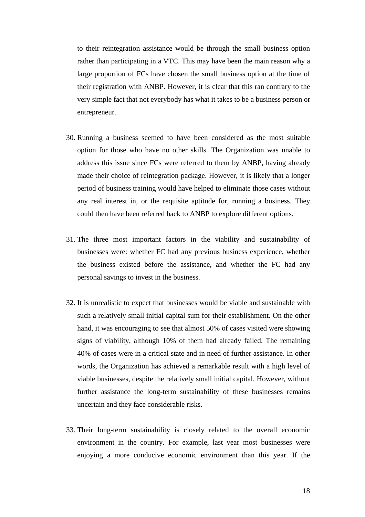to their reintegration assistance would be through the small business option rather than participating in a VTC. This may have been the main reason why a large proportion of FCs have chosen the small business option at the time of their registration with ANBP. However, it is clear that this ran contrary to the very simple fact that not everybody has what it takes to be a business person or entrepreneur.

- 30. Running a business seemed to have been considered as the most suitable option for those who have no other skills. The Organization was unable to address this issue since FCs were referred to them by ANBP, having already made their choice of reintegration package. However, it is likely that a longer period of business training would have helped to eliminate those cases without any real interest in, or the requisite aptitude for, running a business. They could then have been referred back to ANBP to explore different options.
- 31. The three most important factors in the viability and sustainability of businesses were: whether FC had any previous business experience, whether the business existed before the assistance, and whether the FC had any personal savings to invest in the business.
- 32. It is unrealistic to expect that businesses would be viable and sustainable with such a relatively small initial capital sum for their establishment. On the other hand, it was encouraging to see that almost 50% of cases visited were showing signs of viability, although 10% of them had already failed. The remaining 40% of cases were in a critical state and in need of further assistance. In other words, the Organization has achieved a remarkable result with a high level of viable businesses, despite the relatively small initial capital. However, without further assistance the long-term sustainability of these businesses remains uncertain and they face considerable risks.
- 33. Their long-term sustainability is closely related to the overall economic environment in the country. For example, last year most businesses were enjoying a more conducive economic environment than this year. If the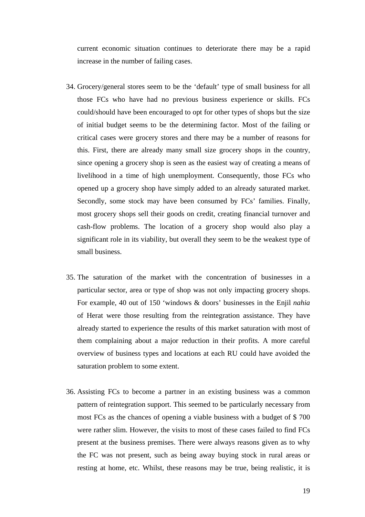current economic situation continues to deteriorate there may be a rapid increase in the number of failing cases.

- 34. Grocery/general stores seem to be the 'default' type of small business for all those FCs who have had no previous business experience or skills. FCs could/should have been encouraged to opt for other types of shops but the size of initial budget seems to be the determining factor. Most of the failing or critical cases were grocery stores and there may be a number of reasons for this. First, there are already many small size grocery shops in the country, since opening a grocery shop is seen as the easiest way of creating a means of livelihood in a time of high unemployment. Consequently, those FCs who opened up a grocery shop have simply added to an already saturated market. Secondly, some stock may have been consumed by FCs' families. Finally, most grocery shops sell their goods on credit, creating financial turnover and cash-flow problems. The location of a grocery shop would also play a significant role in its viability, but overall they seem to be the weakest type of small business.
- 35. The saturation of the market with the concentration of businesses in a particular sector, area or type of shop was not only impacting grocery shops. For example, 40 out of 150 'windows & doors' businesses in the Enjil *nahia* of Herat were those resulting from the reintegration assistance. They have already started to experience the results of this market saturation with most of them complaining about a major reduction in their profits. A more careful overview of business types and locations at each RU could have avoided the saturation problem to some extent.
- 36. Assisting FCs to become a partner in an existing business was a common pattern of reintegration support. This seemed to be particularly necessary from most FCs as the chances of opening a viable business with a budget of \$ 700 were rather slim. However, the visits to most of these cases failed to find FCs present at the business premises. There were always reasons given as to why the FC was not present, such as being away buying stock in rural areas or resting at home, etc. Whilst, these reasons may be true, being realistic, it is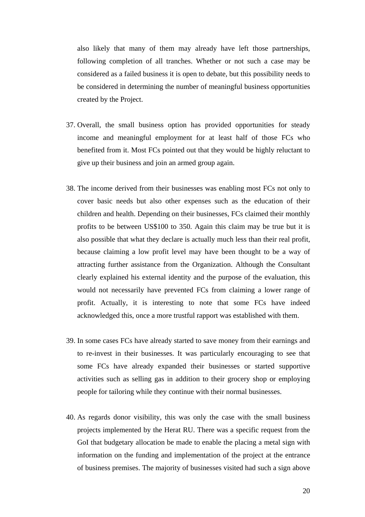also likely that many of them may already have left those partnerships, following completion of all tranches. Whether or not such a case may be considered as a failed business it is open to debate, but this possibility needs to be considered in determining the number of meaningful business opportunities created by the Project.

- 37. Overall, the small business option has provided opportunities for steady income and meaningful employment for at least half of those FCs who benefited from it. Most FCs pointed out that they would be highly reluctant to give up their business and join an armed group again.
- 38. The income derived from their businesses was enabling most FCs not only to cover basic needs but also other expenses such as the education of their children and health. Depending on their businesses, FCs claimed their monthly profits to be between US\$100 to 350. Again this claim may be true but it is also possible that what they declare is actually much less than their real profit, because claiming a low profit level may have been thought to be a way of attracting further assistance from the Organization. Although the Consultant clearly explained his external identity and the purpose of the evaluation, this would not necessarily have prevented FCs from claiming a lower range of profit. Actually, it is interesting to note that some FCs have indeed acknowledged this, once a more trustful rapport was established with them.
- 39. In some cases FCs have already started to save money from their earnings and to re-invest in their businesses. It was particularly encouraging to see that some FCs have already expanded their businesses or started supportive activities such as selling gas in addition to their grocery shop or employing people for tailoring while they continue with their normal businesses.
- 40. As regards donor visibility, this was only the case with the small business projects implemented by the Herat RU. There was a specific request from the GoI that budgetary allocation be made to enable the placing a metal sign with information on the funding and implementation of the project at the entrance of business premises. The majority of businesses visited had such a sign above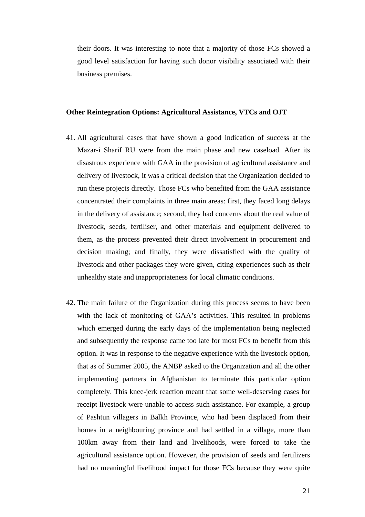their doors. It was interesting to note that a majority of those FCs showed a good level satisfaction for having such donor visibility associated with their business premises.

#### **Other Reintegration Options: Agricultural Assistance, VTCs and OJT**

- 41. All agricultural cases that have shown a good indication of success at the Mazar-i Sharif RU were from the main phase and new caseload. After its disastrous experience with GAA in the provision of agricultural assistance and delivery of livestock, it was a critical decision that the Organization decided to run these projects directly. Those FCs who benefited from the GAA assistance concentrated their complaints in three main areas: first, they faced long delays in the delivery of assistance; second, they had concerns about the real value of livestock, seeds, fertiliser, and other materials and equipment delivered to them, as the process prevented their direct involvement in procurement and decision making; and finally, they were dissatisfied with the quality of livestock and other packages they were given, citing experiences such as their unhealthy state and inappropriateness for local climatic conditions.
- 42. The main failure of the Organization during this process seems to have been with the lack of monitoring of GAA's activities. This resulted in problems which emerged during the early days of the implementation being neglected and subsequently the response came too late for most FCs to benefit from this option. It was in response to the negative experience with the livestock option, that as of Summer 2005, the ANBP asked to the Organization and all the other implementing partners in Afghanistan to terminate this particular option completely. This knee-jerk reaction meant that some well-deserving cases for receipt livestock were unable to access such assistance. For example, a group of Pashtun villagers in Balkh Province, who had been displaced from their homes in a neighbouring province and had settled in a village, more than 100km away from their land and livelihoods, were forced to take the agricultural assistance option. However, the provision of seeds and fertilizers had no meaningful livelihood impact for those FCs because they were quite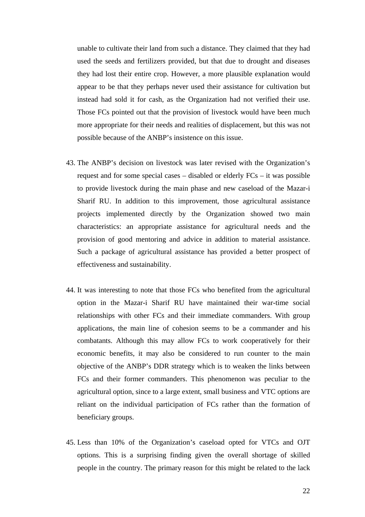unable to cultivate their land from such a distance. They claimed that they had used the seeds and fertilizers provided, but that due to drought and diseases they had lost their entire crop. However, a more plausible explanation would appear to be that they perhaps never used their assistance for cultivation but instead had sold it for cash, as the Organization had not verified their use. Those FCs pointed out that the provision of livestock would have been much more appropriate for their needs and realities of displacement, but this was not possible because of the ANBP's insistence on this issue.

- 43. The ANBP's decision on livestock was later revised with the Organization's request and for some special cases – disabled or elderly FCs – it was possible to provide livestock during the main phase and new caseload of the Mazar-i Sharif RU. In addition to this improvement, those agricultural assistance projects implemented directly by the Organization showed two main characteristics: an appropriate assistance for agricultural needs and the provision of good mentoring and advice in addition to material assistance. Such a package of agricultural assistance has provided a better prospect of effectiveness and sustainability.
- 44. It was interesting to note that those FCs who benefited from the agricultural option in the Mazar-i Sharif RU have maintained their war-time social relationships with other FCs and their immediate commanders. With group applications, the main line of cohesion seems to be a commander and his combatants. Although this may allow FCs to work cooperatively for their economic benefits, it may also be considered to run counter to the main objective of the ANBP's DDR strategy which is to weaken the links between FCs and their former commanders. This phenomenon was peculiar to the agricultural option, since to a large extent, small business and VTC options are reliant on the individual participation of FCs rather than the formation of beneficiary groups.
- 45. Less than 10% of the Organization's caseload opted for VTCs and OJT options. This is a surprising finding given the overall shortage of skilled people in the country. The primary reason for this might be related to the lack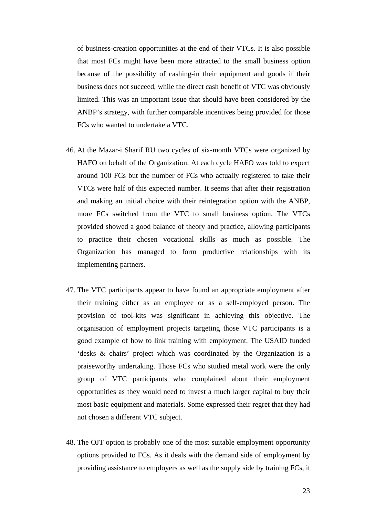of business-creation opportunities at the end of their VTCs. It is also possible that most FCs might have been more attracted to the small business option because of the possibility of cashing-in their equipment and goods if their business does not succeed, while the direct cash benefit of VTC was obviously limited. This was an important issue that should have been considered by the ANBP's strategy, with further comparable incentives being provided for those FCs who wanted to undertake a VTC.

- 46. At the Mazar-i Sharif RU two cycles of six-month VTCs were organized by HAFO on behalf of the Organization. At each cycle HAFO was told to expect around 100 FCs but the number of FCs who actually registered to take their VTCs were half of this expected number. It seems that after their registration and making an initial choice with their reintegration option with the ANBP, more FCs switched from the VTC to small business option. The VTCs provided showed a good balance of theory and practice, allowing participants to practice their chosen vocational skills as much as possible. The Organization has managed to form productive relationships with its implementing partners.
- 47. The VTC participants appear to have found an appropriate employment after their training either as an employee or as a self-employed person. The provision of tool-kits was significant in achieving this objective. The organisation of employment projects targeting those VTC participants is a good example of how to link training with employment. The USAID funded 'desks & chairs' project which was coordinated by the Organization is a praiseworthy undertaking. Those FCs who studied metal work were the only group of VTC participants who complained about their employment opportunities as they would need to invest a much larger capital to buy their most basic equipment and materials. Some expressed their regret that they had not chosen a different VTC subject.
- 48. The OJT option is probably one of the most suitable employment opportunity options provided to FCs. As it deals with the demand side of employment by providing assistance to employers as well as the supply side by training FCs, it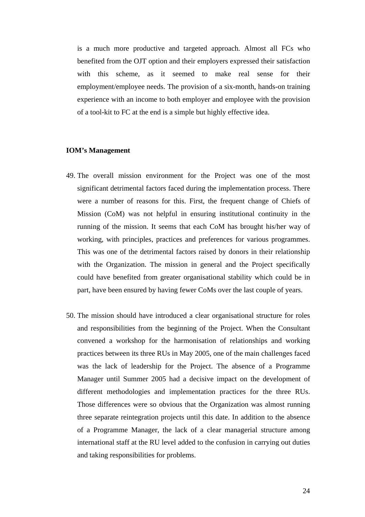is a much more productive and targeted approach. Almost all FCs who benefited from the OJT option and their employers expressed their satisfaction with this scheme, as it seemed to make real sense for their employment/employee needs. The provision of a six-month, hands-on training experience with an income to both employer and employee with the provision of a tool-kit to FC at the end is a simple but highly effective idea.

#### **IOM's Management**

- 49. The overall mission environment for the Project was one of the most significant detrimental factors faced during the implementation process. There were a number of reasons for this. First, the frequent change of Chiefs of Mission (CoM) was not helpful in ensuring institutional continuity in the running of the mission. It seems that each CoM has brought his/her way of working, with principles, practices and preferences for various programmes. This was one of the detrimental factors raised by donors in their relationship with the Organization. The mission in general and the Project specifically could have benefited from greater organisational stability which could be in part, have been ensured by having fewer CoMs over the last couple of years.
- 50. The mission should have introduced a clear organisational structure for roles and responsibilities from the beginning of the Project. When the Consultant convened a workshop for the harmonisation of relationships and working practices between its three RUs in May 2005, one of the main challenges faced was the lack of leadership for the Project. The absence of a Programme Manager until Summer 2005 had a decisive impact on the development of different methodologies and implementation practices for the three RUs. Those differences were so obvious that the Organization was almost running three separate reintegration projects until this date. In addition to the absence of a Programme Manager, the lack of a clear managerial structure among international staff at the RU level added to the confusion in carrying out duties and taking responsibilities for problems.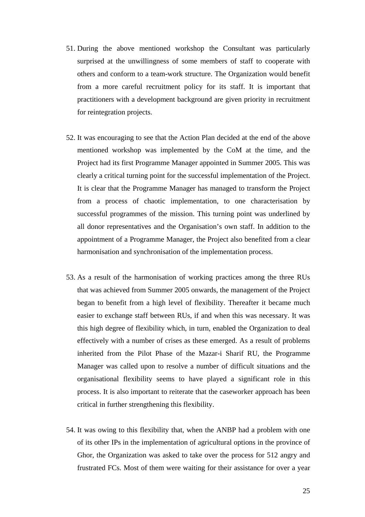- 51. During the above mentioned workshop the Consultant was particularly surprised at the unwillingness of some members of staff to cooperate with others and conform to a team-work structure. The Organization would benefit from a more careful recruitment policy for its staff. It is important that practitioners with a development background are given priority in recruitment for reintegration projects.
- 52. It was encouraging to see that the Action Plan decided at the end of the above mentioned workshop was implemented by the CoM at the time, and the Project had its first Programme Manager appointed in Summer 2005. This was clearly a critical turning point for the successful implementation of the Project. It is clear that the Programme Manager has managed to transform the Project from a process of chaotic implementation, to one characterisation by successful programmes of the mission. This turning point was underlined by all donor representatives and the Organisation's own staff. In addition to the appointment of a Programme Manager, the Project also benefited from a clear harmonisation and synchronisation of the implementation process.
- 53. As a result of the harmonisation of working practices among the three RUs that was achieved from Summer 2005 onwards, the management of the Project began to benefit from a high level of flexibility. Thereafter it became much easier to exchange staff between RUs, if and when this was necessary. It was this high degree of flexibility which, in turn, enabled the Organization to deal effectively with a number of crises as these emerged. As a result of problems inherited from the Pilot Phase of the Mazar-i Sharif RU, the Programme Manager was called upon to resolve a number of difficult situations and the organisational flexibility seems to have played a significant role in this process. It is also important to reiterate that the caseworker approach has been critical in further strengthening this flexibility.
- 54. It was owing to this flexibility that, when the ANBP had a problem with one of its other IPs in the implementation of agricultural options in the province of Ghor, the Organization was asked to take over the process for 512 angry and frustrated FCs. Most of them were waiting for their assistance for over a year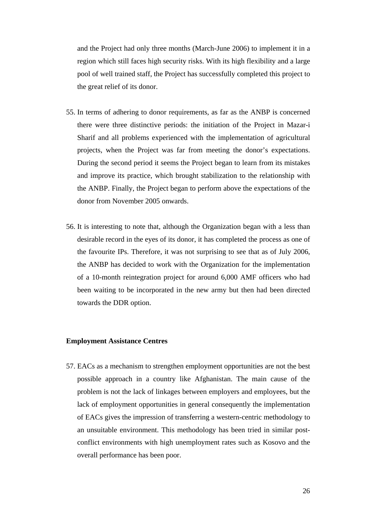and the Project had only three months (March-June 2006) to implement it in a region which still faces high security risks. With its high flexibility and a large pool of well trained staff, the Project has successfully completed this project to the great relief of its donor.

- 55. In terms of adhering to donor requirements, as far as the ANBP is concerned there were three distinctive periods: the initiation of the Project in Mazar-i Sharif and all problems experienced with the implementation of agricultural projects, when the Project was far from meeting the donor's expectations. During the second period it seems the Project began to learn from its mistakes and improve its practice, which brought stabilization to the relationship with the ANBP. Finally, the Project began to perform above the expectations of the donor from November 2005 onwards.
- 56. It is interesting to note that, although the Organization began with a less than desirable record in the eyes of its donor, it has completed the process as one of the favourite IPs. Therefore, it was not surprising to see that as of July 2006, the ANBP has decided to work with the Organization for the implementation of a 10-month reintegration project for around 6,000 AMF officers who had been waiting to be incorporated in the new army but then had been directed towards the DDR option.

#### **Employment Assistance Centres**

57. EACs as a mechanism to strengthen employment opportunities are not the best possible approach in a country like Afghanistan. The main cause of the problem is not the lack of linkages between employers and employees, but the lack of employment opportunities in general consequently the implementation of EACs gives the impression of transferring a western-centric methodology to an unsuitable environment. This methodology has been tried in similar postconflict environments with high unemployment rates such as Kosovo and the overall performance has been poor.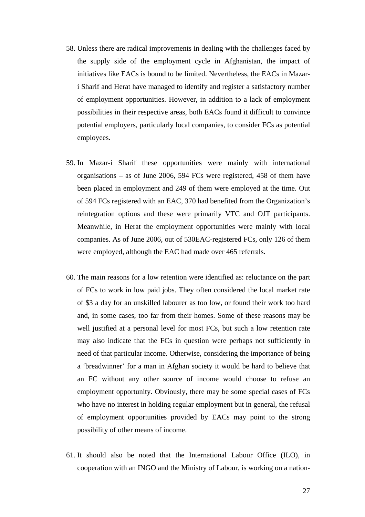- 58. Unless there are radical improvements in dealing with the challenges faced by the supply side of the employment cycle in Afghanistan, the impact of initiatives like EACs is bound to be limited. Nevertheless, the EACs in Mazari Sharif and Herat have managed to identify and register a satisfactory number of employment opportunities. However, in addition to a lack of employment possibilities in their respective areas, both EACs found it difficult to convince potential employers, particularly local companies, to consider FCs as potential employees.
- 59. In Mazar-i Sharif these opportunities were mainly with international organisations – as of June 2006, 594 FCs were registered, 458 of them have been placed in employment and 249 of them were employed at the time. Out of 594 FCs registered with an EAC, 370 had benefited from the Organization's reintegration options and these were primarily VTC and OJT participants. Meanwhile, in Herat the employment opportunities were mainly with local companies. As of June 2006, out of 530EAC-registered FCs, only 126 of them were employed, although the EAC had made over 465 referrals.
- 60. The main reasons for a low retention were identified as: reluctance on the part of FCs to work in low paid jobs. They often considered the local market rate of \$3 a day for an unskilled labourer as too low, or found their work too hard and, in some cases, too far from their homes. Some of these reasons may be well justified at a personal level for most FCs, but such a low retention rate may also indicate that the FCs in question were perhaps not sufficiently in need of that particular income. Otherwise, considering the importance of being a 'breadwinner' for a man in Afghan society it would be hard to believe that an FC without any other source of income would choose to refuse an employment opportunity. Obviously, there may be some special cases of FCs who have no interest in holding regular employment but in general, the refusal of employment opportunities provided by EACs may point to the strong possibility of other means of income.
- 61. It should also be noted that the International Labour Office (ILO), in cooperation with an INGO and the Ministry of Labour, is working on a nation-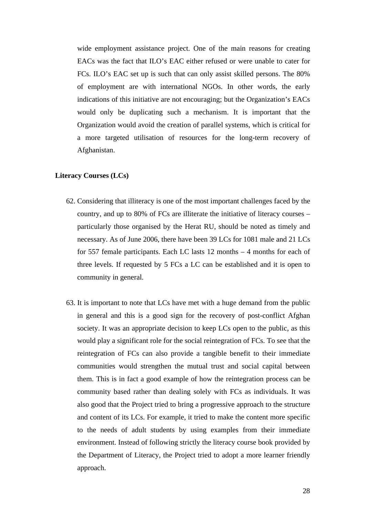wide employment assistance project. One of the main reasons for creating EACs was the fact that ILO's EAC either refused or were unable to cater for FCs. ILO's EAC set up is such that can only assist skilled persons. The 80% of employment are with international NGOs. In other words, the early indications of this initiative are not encouraging; but the Organization's EACs would only be duplicating such a mechanism. It is important that the Organization would avoid the creation of parallel systems, which is critical for a more targeted utilisation of resources for the long-term recovery of Afghanistan.

#### **Literacy Courses (LCs)**

- 62. Considering that illiteracy is one of the most important challenges faced by the country, and up to 80% of FCs are illiterate the initiative of literacy courses – particularly those organised by the Herat RU, should be noted as timely and necessary. As of June 2006, there have been 39 LCs for 1081 male and 21 LCs for 557 female participants. Each LC lasts 12 months – 4 months for each of three levels. If requested by 5 FCs a LC can be established and it is open to community in general.
- 63. It is important to note that LCs have met with a huge demand from the public in general and this is a good sign for the recovery of post-conflict Afghan society. It was an appropriate decision to keep LCs open to the public, as this would play a significant role for the social reintegration of FCs. To see that the reintegration of FCs can also provide a tangible benefit to their immediate communities would strengthen the mutual trust and social capital between them. This is in fact a good example of how the reintegration process can be community based rather than dealing solely with FCs as individuals. It was also good that the Project tried to bring a progressive approach to the structure and content of its LCs. For example, it tried to make the content more specific to the needs of adult students by using examples from their immediate environment. Instead of following strictly the literacy course book provided by the Department of Literacy, the Project tried to adopt a more learner friendly approach.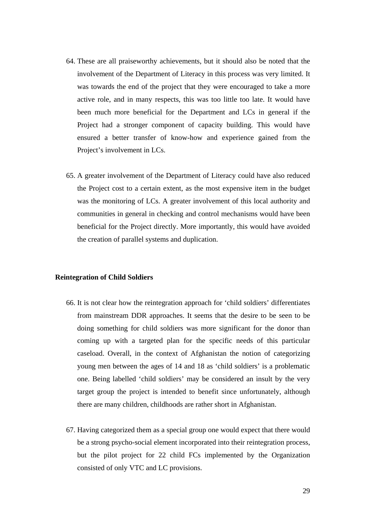- 64. These are all praiseworthy achievements, but it should also be noted that the involvement of the Department of Literacy in this process was very limited. It was towards the end of the project that they were encouraged to take a more active role, and in many respects, this was too little too late. It would have been much more beneficial for the Department and LCs in general if the Project had a stronger component of capacity building. This would have ensured a better transfer of know-how and experience gained from the Project's involvement in LCs.
- 65. A greater involvement of the Department of Literacy could have also reduced the Project cost to a certain extent, as the most expensive item in the budget was the monitoring of LCs. A greater involvement of this local authority and communities in general in checking and control mechanisms would have been beneficial for the Project directly. More importantly, this would have avoided the creation of parallel systems and duplication.

#### **Reintegration of Child Soldiers**

- 66. It is not clear how the reintegration approach for 'child soldiers' differentiates from mainstream DDR approaches. It seems that the desire to be seen to be doing something for child soldiers was more significant for the donor than coming up with a targeted plan for the specific needs of this particular caseload. Overall, in the context of Afghanistan the notion of categorizing young men between the ages of 14 and 18 as 'child soldiers' is a problematic one. Being labelled 'child soldiers' may be considered an insult by the very target group the project is intended to benefit since unfortunately, although there are many children, childhoods are rather short in Afghanistan.
- 67. Having categorized them as a special group one would expect that there would be a strong psycho-social element incorporated into their reintegration process, but the pilot project for 22 child FCs implemented by the Organization consisted of only VTC and LC provisions.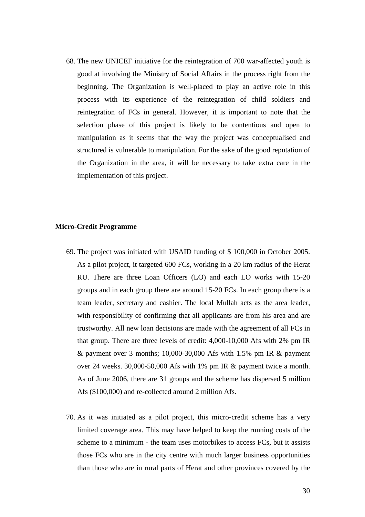68. The new UNICEF initiative for the reintegration of 700 war-affected youth is good at involving the Ministry of Social Affairs in the process right from the beginning. The Organization is well-placed to play an active role in this process with its experience of the reintegration of child soldiers and reintegration of FCs in general. However, it is important to note that the selection phase of this project is likely to be contentious and open to manipulation as it seems that the way the project was conceptualised and structured is vulnerable to manipulation. For the sake of the good reputation of the Organization in the area, it will be necessary to take extra care in the implementation of this project.

#### **Micro-Credit Programme**

- 69. The project was initiated with USAID funding of \$ 100,000 in October 2005. As a pilot project, it targeted 600 FCs, working in a 20 km radius of the Herat RU. There are three Loan Officers (LO) and each LO works with 15-20 groups and in each group there are around 15-20 FCs. In each group there is a team leader, secretary and cashier. The local Mullah acts as the area leader, with responsibility of confirming that all applicants are from his area and are trustworthy. All new loan decisions are made with the agreement of all FCs in that group. There are three levels of credit: 4,000-10,000 Afs with 2% pm IR  $\&$  payment over 3 months; 10,000-30,000 Afs with 1.5% pm IR  $\&$  payment over 24 weeks. 30,000-50,000 Afs with 1% pm IR & payment twice a month. As of June 2006, there are 31 groups and the scheme has dispersed 5 million Afs (\$100,000) and re-collected around 2 million Afs.
- 70. As it was initiated as a pilot project, this micro-credit scheme has a very limited coverage area. This may have helped to keep the running costs of the scheme to a minimum - the team uses motorbikes to access FCs, but it assists those FCs who are in the city centre with much larger business opportunities than those who are in rural parts of Herat and other provinces covered by the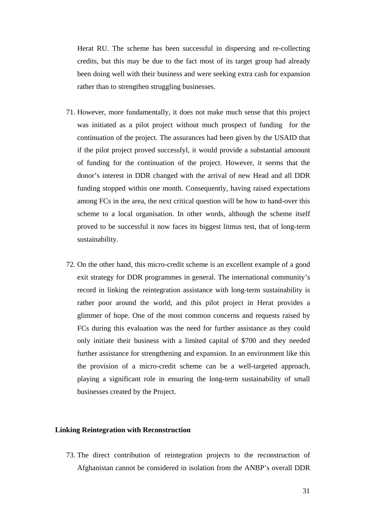Herat RU. The scheme has been successful in dispersing and re-collecting credits, but this may be due to the fact most of its target group had already been doing well with their business and were seeking extra cash for expansion rather than to strengthen struggling businesses.

- 71. However, more fundamentally, it does not make much sense that this project was initiated as a pilot project without much prospect of funding for the continuation of the project. The assurances had been given by the USAID that if the pilot project proved successfyl, it would provide a substantial amoount of funding for the continuation of the project. However, it seems that the donor's interest in DDR changed with the arrival of new Head and all DDR funding stopped within one month. Consequently, having raised expectations among FCs in the area, the next critical question will be how to hand-over this scheme to a local organisation. In other words, although the scheme itself proved to be successful it now faces its biggest litmus test, that of long-term sustainability.
- 72. On the other hand, this micro-credit scheme is an excellent example of a good exit strategy for DDR programmes in general. The international community's record in linking the reintegration assistance with long-term sustainability is rather poor around the world, and this pilot project in Herat provides a glimmer of hope. One of the most common concerns and requests raised by FCs during this evaluation was the need for further assistance as they could only initiate their business with a limited capital of \$700 and they needed further assistance for strengthening and expansion. In an environment like this the provision of a micro-credit scheme can be a well-targeted approach, playing a significant role in ensuring the long-term sustainability of small businesses created by the Project.

#### **Linking Reintegration with Reconstruction**

73. The direct contribution of reintegration projects to the reconstruction of Afghanistan cannot be considered in isolation from the ANBP's overall DDR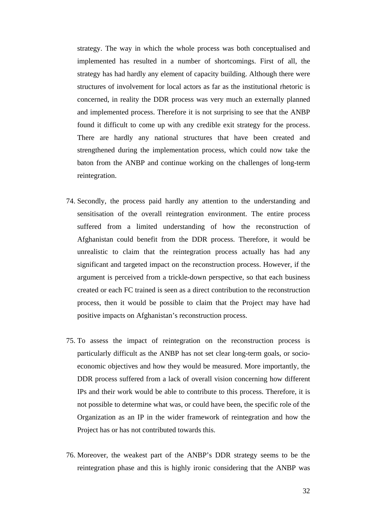strategy. The way in which the whole process was both conceptualised and implemented has resulted in a number of shortcomings. First of all, the strategy has had hardly any element of capacity building. Although there were structures of involvement for local actors as far as the institutional rhetoric is concerned, in reality the DDR process was very much an externally planned and implemented process. Therefore it is not surprising to see that the ANBP found it difficult to come up with any credible exit strategy for the process. There are hardly any national structures that have been created and strengthened during the implementation process, which could now take the baton from the ANBP and continue working on the challenges of long-term reintegration.

- 74. Secondly, the process paid hardly any attention to the understanding and sensitisation of the overall reintegration environment. The entire process suffered from a limited understanding of how the reconstruction of Afghanistan could benefit from the DDR process. Therefore, it would be unrealistic to claim that the reintegration process actually has had any significant and targeted impact on the reconstruction process. However, if the argument is perceived from a trickle-down perspective, so that each business created or each FC trained is seen as a direct contribution to the reconstruction process, then it would be possible to claim that the Project may have had positive impacts on Afghanistan's reconstruction process.
- 75. To assess the impact of reintegration on the reconstruction process is particularly difficult as the ANBP has not set clear long-term goals, or socioeconomic objectives and how they would be measured. More importantly, the DDR process suffered from a lack of overall vision concerning how different IPs and their work would be able to contribute to this process. Therefore, it is not possible to determine what was, or could have been, the specific role of the Organization as an IP in the wider framework of reintegration and how the Project has or has not contributed towards this.
- 76. Moreover, the weakest part of the ANBP's DDR strategy seems to be the reintegration phase and this is highly ironic considering that the ANBP was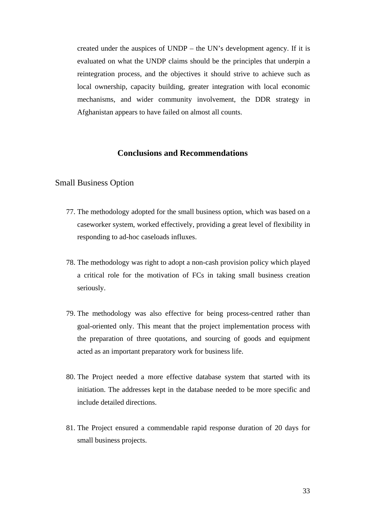created under the auspices of UNDP – the UN's development agency. If it is evaluated on what the UNDP claims should be the principles that underpin a reintegration process, and the objectives it should strive to achieve such as local ownership, capacity building, greater integration with local economic mechanisms, and wider community involvement, the DDR strategy in Afghanistan appears to have failed on almost all counts.

### **Conclusions and Recommendations**

#### Small Business Option

- 77. The methodology adopted for the small business option, which was based on a caseworker system, worked effectively, providing a great level of flexibility in responding to ad-hoc caseloads influxes.
- 78. The methodology was right to adopt a non-cash provision policy which played a critical role for the motivation of FCs in taking small business creation seriously.
- 79. The methodology was also effective for being process-centred rather than goal-oriented only. This meant that the project implementation process with the preparation of three quotations, and sourcing of goods and equipment acted as an important preparatory work for business life.
- 80. The Project needed a more effective database system that started with its initiation. The addresses kept in the database needed to be more specific and include detailed directions.
- 81. The Project ensured a commendable rapid response duration of 20 days for small business projects.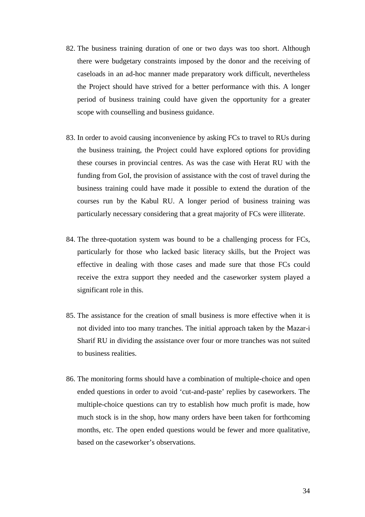- 82. The business training duration of one or two days was too short. Although there were budgetary constraints imposed by the donor and the receiving of caseloads in an ad-hoc manner made preparatory work difficult, nevertheless the Project should have strived for a better performance with this. A longer period of business training could have given the opportunity for a greater scope with counselling and business guidance.
- 83. In order to avoid causing inconvenience by asking FCs to travel to RUs during the business training, the Project could have explored options for providing these courses in provincial centres. As was the case with Herat RU with the funding from GoI, the provision of assistance with the cost of travel during the business training could have made it possible to extend the duration of the courses run by the Kabul RU. A longer period of business training was particularly necessary considering that a great majority of FCs were illiterate.
- 84. The three-quotation system was bound to be a challenging process for FCs, particularly for those who lacked basic literacy skills, but the Project was effective in dealing with those cases and made sure that those FCs could receive the extra support they needed and the caseworker system played a significant role in this.
- 85. The assistance for the creation of small business is more effective when it is not divided into too many tranches. The initial approach taken by the Mazar-i Sharif RU in dividing the assistance over four or more tranches was not suited to business realities.
- 86. The monitoring forms should have a combination of multiple-choice and open ended questions in order to avoid 'cut-and-paste' replies by caseworkers. The multiple-choice questions can try to establish how much profit is made, how much stock is in the shop, how many orders have been taken for forthcoming months, etc. The open ended questions would be fewer and more qualitative, based on the caseworker's observations.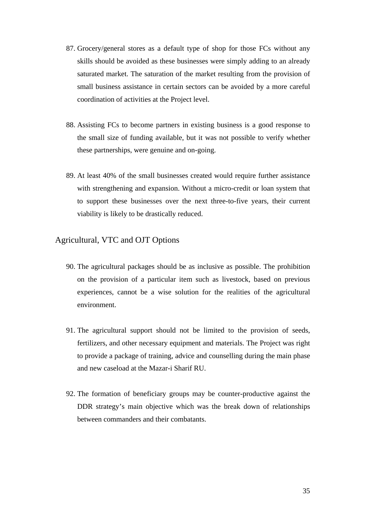- 87. Grocery/general stores as a default type of shop for those FCs without any skills should be avoided as these businesses were simply adding to an already saturated market. The saturation of the market resulting from the provision of small business assistance in certain sectors can be avoided by a more careful coordination of activities at the Project level.
- 88. Assisting FCs to become partners in existing business is a good response to the small size of funding available, but it was not possible to verify whether these partnerships, were genuine and on-going.
- 89. At least 40% of the small businesses created would require further assistance with strengthening and expansion. Without a micro-credit or loan system that to support these businesses over the next three-to-five years, their current viability is likely to be drastically reduced.

### Agricultural, VTC and OJT Options

- 90. The agricultural packages should be as inclusive as possible. The prohibition on the provision of a particular item such as livestock, based on previous experiences, cannot be a wise solution for the realities of the agricultural environment.
- 91. The agricultural support should not be limited to the provision of seeds, fertilizers, and other necessary equipment and materials. The Project was right to provide a package of training, advice and counselling during the main phase and new caseload at the Mazar-i Sharif RU.
- 92. The formation of beneficiary groups may be counter-productive against the DDR strategy's main objective which was the break down of relationships between commanders and their combatants.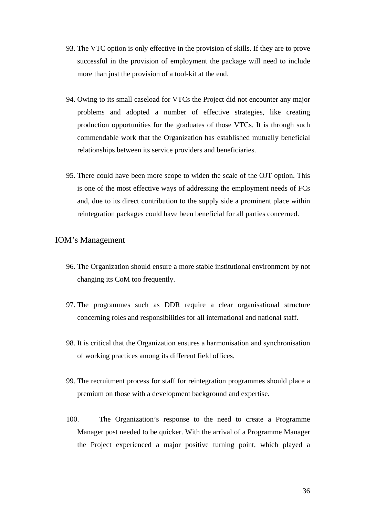- 93. The VTC option is only effective in the provision of skills. If they are to prove successful in the provision of employment the package will need to include more than just the provision of a tool-kit at the end.
- 94. Owing to its small caseload for VTCs the Project did not encounter any major problems and adopted a number of effective strategies, like creating production opportunities for the graduates of those VTCs. It is through such commendable work that the Organization has established mutually beneficial relationships between its service providers and beneficiaries.
- 95. There could have been more scope to widen the scale of the OJT option. This is one of the most effective ways of addressing the employment needs of FCs and, due to its direct contribution to the supply side a prominent place within reintegration packages could have been beneficial for all parties concerned.

### IOM's Management

- 96. The Organization should ensure a more stable institutional environment by not changing its CoM too frequently.
- 97. The programmes such as DDR require a clear organisational structure concerning roles and responsibilities for all international and national staff.
- 98. It is critical that the Organization ensures a harmonisation and synchronisation of working practices among its different field offices.
- 99. The recruitment process for staff for reintegration programmes should place a premium on those with a development background and expertise.
- 100. The Organization's response to the need to create a Programme Manager post needed to be quicker. With the arrival of a Programme Manager the Project experienced a major positive turning point, which played a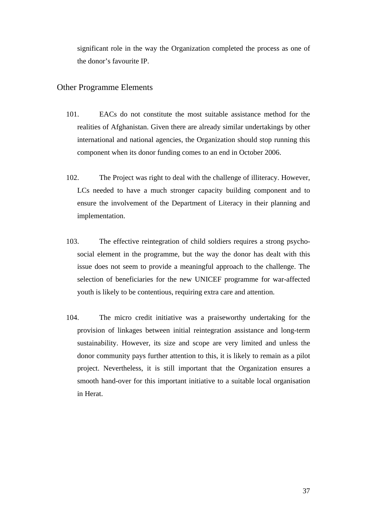significant role in the way the Organization completed the process as one of the donor's favourite IP.

#### Other Programme Elements

- 101. EACs do not constitute the most suitable assistance method for the realities of Afghanistan. Given there are already similar undertakings by other international and national agencies, the Organization should stop running this component when its donor funding comes to an end in October 2006.
- 102. The Project was right to deal with the challenge of illiteracy. However, LCs needed to have a much stronger capacity building component and to ensure the involvement of the Department of Literacy in their planning and implementation.
- 103. The effective reintegration of child soldiers requires a strong psychosocial element in the programme, but the way the donor has dealt with this issue does not seem to provide a meaningful approach to the challenge. The selection of beneficiaries for the new UNICEF programme for war-affected youth is likely to be contentious, requiring extra care and attention.
- 104. The micro credit initiative was a praiseworthy undertaking for the provision of linkages between initial reintegration assistance and long-term sustainability. However, its size and scope are very limited and unless the donor community pays further attention to this, it is likely to remain as a pilot project. Nevertheless, it is still important that the Organization ensures a smooth hand-over for this important initiative to a suitable local organisation in Herat.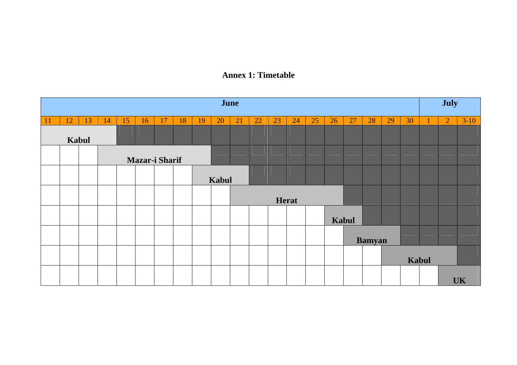### **Annex 1: Timetable**

| June          |                       |    |    |    |    |    |    |    | July  |    |    |    |              |    |    |       |               |    |       |  |                |           |
|---------------|-----------------------|----|----|----|----|----|----|----|-------|----|----|----|--------------|----|----|-------|---------------|----|-------|--|----------------|-----------|
| <sup>11</sup> | 12                    | 13 | 14 | 15 | 16 | 17 | 18 | 19 | 20    | 21 | 22 | 23 | 24           | 25 | 26 | 27    | 28            | 29 | 30    |  | $\overline{2}$ | $3-10$    |
|               |                       |    |    |    |    |    |    |    |       |    |    |    |              |    |    |       |               |    |       |  |                |           |
|               | Kabul                 |    |    |    |    |    |    |    |       |    |    |    |              |    |    |       |               |    |       |  |                |           |
|               | <b>Mazar-i Sharif</b> |    |    |    |    |    |    |    |       |    |    |    |              |    |    |       |               |    |       |  |                |           |
|               |                       |    |    |    |    |    |    |    | Kabul |    |    |    |              |    |    |       |               |    |       |  |                |           |
|               |                       |    |    |    |    |    |    |    |       |    |    |    | <b>Herat</b> |    |    |       |               |    |       |  |                |           |
|               |                       |    |    |    |    |    |    |    |       |    |    |    |              |    |    | Kabul |               |    |       |  |                |           |
|               |                       |    |    |    |    |    |    |    |       |    |    |    |              |    |    |       | <b>Bamyan</b> |    |       |  |                |           |
|               |                       |    |    |    |    |    |    |    |       |    |    |    |              |    |    |       |               |    | Kabul |  |                |           |
|               |                       |    |    |    |    |    |    |    |       |    |    |    |              |    |    |       |               |    |       |  |                | <b>UK</b> |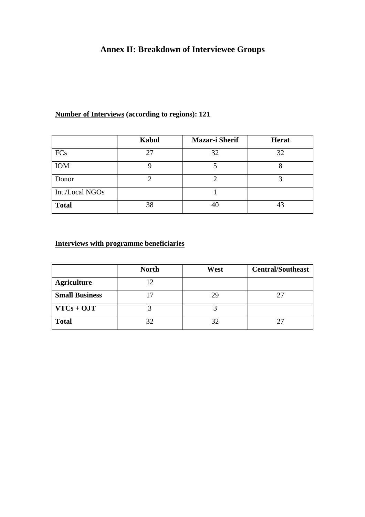# **Annex II: Breakdown of Interviewee Groups**

## **Number of Interviews (according to regions): 121**

|                 | Kabul | <b>Mazar-i Sherif</b> | <b>Herat</b> |
|-----------------|-------|-----------------------|--------------|
| FCs             | 27    | 32                    | 32           |
| <b>IOM</b>      |       |                       |              |
| Donor           |       |                       |              |
| Int./Local NGOs |       |                       |              |
| <b>Total</b>    | 38    | 40                    |              |

# **Interviews with programme beneficiaries**

|                       | <b>North</b> | West | <b>Central/Southeast</b> |
|-----------------------|--------------|------|--------------------------|
| <b>Agriculture</b>    | 12           |      |                          |
| <b>Small Business</b> |              | 29   |                          |
| $VTCs + OJT$          |              |      |                          |
| <b>Total</b>          | 32           | 32   |                          |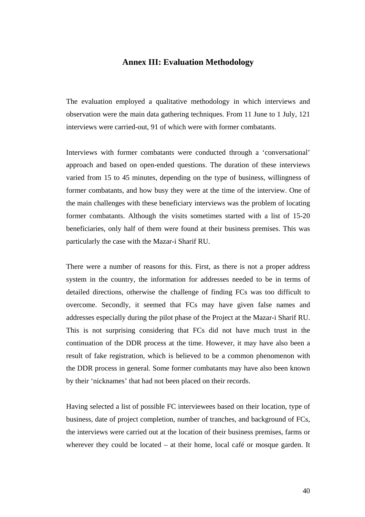#### **Annex III: Evaluation Methodology**

The evaluation employed a qualitative methodology in which interviews and observation were the main data gathering techniques. From 11 June to 1 July, 121 interviews were carried-out, 91 of which were with former combatants.

Interviews with former combatants were conducted through a 'conversational' approach and based on open-ended questions. The duration of these interviews varied from 15 to 45 minutes, depending on the type of business, willingness of former combatants, and how busy they were at the time of the interview. One of the main challenges with these beneficiary interviews was the problem of locating former combatants. Although the visits sometimes started with a list of 15-20 beneficiaries, only half of them were found at their business premises. This was particularly the case with the Mazar-i Sharif RU.

There were a number of reasons for this. First, as there is not a proper address system in the country, the information for addresses needed to be in terms of detailed directions, otherwise the challenge of finding FCs was too difficult to overcome. Secondly, it seemed that FCs may have given false names and addresses especially during the pilot phase of the Project at the Mazar-i Sharif RU. This is not surprising considering that FCs did not have much trust in the continuation of the DDR process at the time. However, it may have also been a result of fake registration, which is believed to be a common phenomenon with the DDR process in general. Some former combatants may have also been known by their 'nicknames' that had not been placed on their records.

Having selected a list of possible FC interviewees based on their location, type of business, date of project completion, number of tranches, and background of FCs, the interviews were carried out at the location of their business premises, farms or wherever they could be located – at their home, local café or mosque garden. It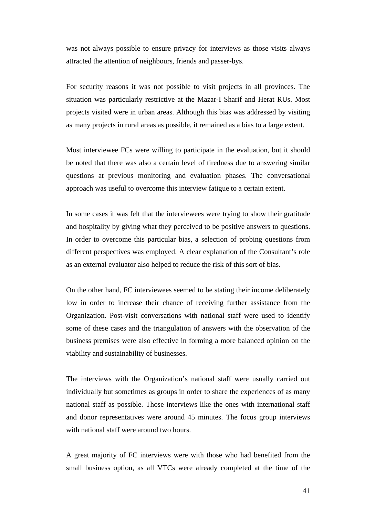was not always possible to ensure privacy for interviews as those visits always attracted the attention of neighbours, friends and passer-bys.

For security reasons it was not possible to visit projects in all provinces. The situation was particularly restrictive at the Mazar-I Sharif and Herat RUs. Most projects visited were in urban areas. Although this bias was addressed by visiting as many projects in rural areas as possible, it remained as a bias to a large extent.

Most interviewee FCs were willing to participate in the evaluation, but it should be noted that there was also a certain level of tiredness due to answering similar questions at previous monitoring and evaluation phases. The conversational approach was useful to overcome this interview fatigue to a certain extent.

In some cases it was felt that the interviewees were trying to show their gratitude and hospitality by giving what they perceived to be positive answers to questions. In order to overcome this particular bias, a selection of probing questions from different perspectives was employed. A clear explanation of the Consultant's role as an external evaluator also helped to reduce the risk of this sort of bias.

On the other hand, FC interviewees seemed to be stating their income deliberately low in order to increase their chance of receiving further assistance from the Organization. Post-visit conversations with national staff were used to identify some of these cases and the triangulation of answers with the observation of the business premises were also effective in forming a more balanced opinion on the viability and sustainability of businesses.

The interviews with the Organization's national staff were usually carried out individually but sometimes as groups in order to share the experiences of as many national staff as possible. Those interviews like the ones with international staff and donor representatives were around 45 minutes. The focus group interviews with national staff were around two hours.

A great majority of FC interviews were with those who had benefited from the small business option, as all VTCs were already completed at the time of the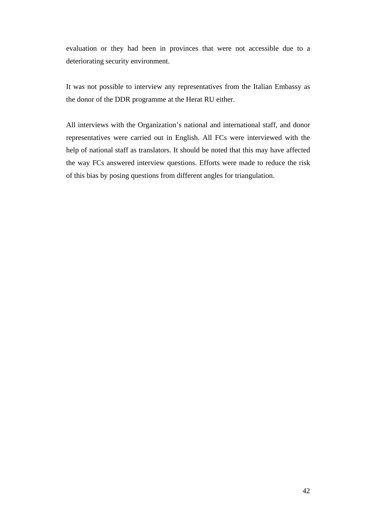evaluation or they had been in provinces that were not accessible due to a deteriorating security environment.

It was not possible to interview any representatives from the Italian Embassy as the donor of the DDR programme at the Herat RU either.

All interviews with the Organization's national and international staff, and donor representatives were carried out in English. All FCs were interviewed with the help of national staff as translators. It should be noted that this may have affected the way FCs answered interview questions. Efforts were made to reduce the risk of this bias by posing questions from different angles for triangulation.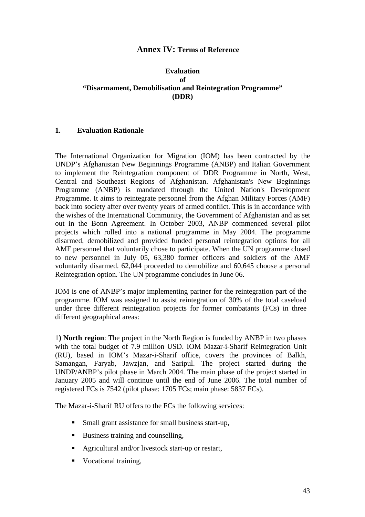#### **Annex IV: Terms of Reference**

#### **Evaluation of "Disarmament, Demobilisation and Reintegration Programme" (DDR)**

#### **1. Evaluation Rationale**

The International Organization for Migration (IOM) has been contracted by the UNDP's Afghanistan New Beginnings Programme (ANBP) and Italian Government to implement the Reintegration component of DDR Programme in North, West, Central and Southeast Regions of Afghanistan. Afghanistan's New Beginnings Programme (ANBP) is mandated through the United Nation's Development Programme. It aims to reintegrate personnel from the Afghan Military Forces (AMF) back into society after over twenty years of armed conflict. This is in accordance with the wishes of the International Community, the Government of Afghanistan and as set out in the Bonn Agreement. In October 2003, ANBP commenced several pilot projects which rolled into a national programme in May 2004. The programme disarmed, demobilized and provided funded personal reintegration options for all AMF personnel that voluntarily chose to participate. When the UN programme closed to new personnel in July 05, 63,380 former officers and soldiers of the AMF voluntarily disarmed. 62,044 proceeded to demobilize and 60,645 choose a personal Reintegration option. The UN programme concludes in June 06.

IOM is one of ANBP's major implementing partner for the reintegration part of the programme. IOM was assigned to assist reintegration of 30% of the total caseload under three different reintegration projects for former combatants (FCs) in three different geographical areas:

1**) North region**: The project in the North Region is funded by ANBP in two phases with the total budget of 7.9 million USD. IOM Mazar-i-Sharif Reintegration Unit (RU), based in IOM's Mazar-i-Sharif office, covers the provinces of Balkh, Samangan, Faryab, Jawzjan, and Saripul. The project started during the UNDP/ANBP's pilot phase in March 2004. The main phase of the project started in January 2005 and will continue until the end of June 2006. The total number of registered FCs is 7542 (pilot phase: 1705 FCs; main phase: 5837 FCs).

The Mazar-i-Sharif RU offers to the FCs the following services:

- Small grant assistance for small business start-up,
- Business training and counselling,
- Agricultural and/or livestock start-up or restart,
- **Vocational training.**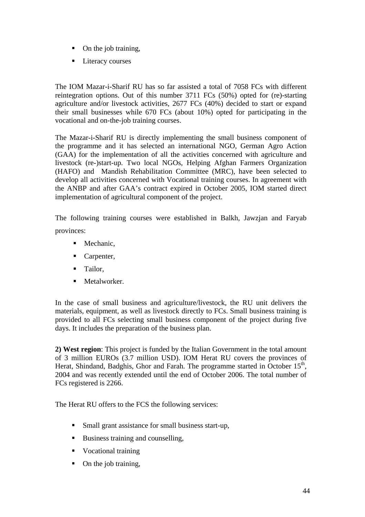- On the job training,
- **Literacy courses**

The IOM Mazar-i-Sharif RU has so far assisted a total of 7058 FCs with different reintegration options. Out of this number 3711 FCs (50%) opted for (re)-starting agriculture and/or livestock activities, 2677 FCs (40%) decided to start or expand their small businesses while 670 FCs (about 10%) opted for participating in the vocational and on-the-job training courses.

The Mazar-i-Sharif RU is directly implementing the small business component of the programme and it has selected an international NGO, German Agro Action (GAA) for the implementation of all the activities concerned with agriculture and livestock (re-)start-up. Two local NGOs, Helping Afghan Farmers Organization (HAFO) and Mandish Rehabilitation Committee (MRC), have been selected to develop all activities concerned with Vocational training courses. In agreement with the ANBP and after GAA's contract expired in October 2005, IOM started direct implementation of agricultural component of the project.

The following training courses were established in Balkh, Jawzjan and Faryab provinces:

- Mechanic,
- Carpenter,
- **Tailor.**
- **Metalworker.**

In the case of small business and agriculture/livestock, the RU unit delivers the materials, equipment, as well as livestock directly to FCs. Small business training is provided to all FCs selecting small business component of the project during five days. It includes the preparation of the business plan.

**2) West region**: This project is funded by the Italian Government in the total amount of 3 million EUROs (3.7 million USD). IOM Herat RU covers the provinces of Herat, Shindand, Badghis, Ghor and Farah. The programme started in October  $15<sup>th</sup>$ , 2004 and was recently extended until the end of October 2006. The total number of FCs registered is 2266.

The Herat RU offers to the FCS the following services:

- **Small grant assistance for small business start-up,**
- Business training and counselling,
- Vocational training
- On the job training,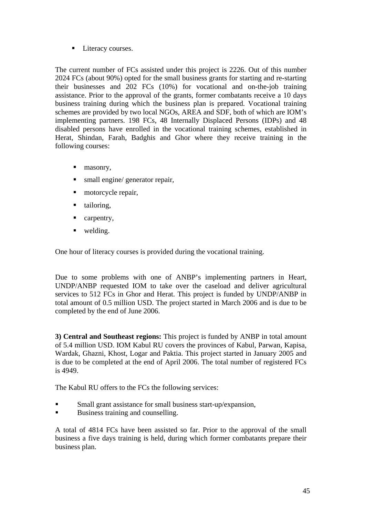**Literacy courses.** 

The current number of FCs assisted under this project is 2226. Out of this number 2024 FCs (about 90%) opted for the small business grants for starting and re-starting their businesses and 202 FCs (10%) for vocational and on-the-job training assistance. Prior to the approval of the grants, former combatants receive a 10 days business training during which the business plan is prepared. Vocational training schemes are provided by two local NGOs, AREA and SDF, both of which are IOM's implementing partners. 198 FCs, 48 Internally Displaced Persons (IDPs) and 48 disabled persons have enrolled in the vocational training schemes, established in Herat, Shindan, Farah, Badghis and Ghor where they receive training in the following courses:

- $maxonry$ ,
- small engine/ generator repair,
- motorcycle repair,
- ullet tailoring.
- carpentry,
- welding.

One hour of literacy courses is provided during the vocational training.

Due to some problems with one of ANBP's implementing partners in Heart, UNDP/ANBP requested IOM to take over the caseload and deliver agricultural services to 512 FCs in Ghor and Herat. This project is funded by UNDP/ANBP in total amount of 0.5 million USD. The project started in March 2006 and is due to be completed by the end of June 2006.

**3) Central and Southeast regions:** This project is funded by ANBP in total amount of 5.4 million USD. IOM Kabul RU covers the provinces of Kabul, Parwan, Kapisa, Wardak, Ghazni, Khost, Logar and Paktia. This project started in January 2005 and is due to be completed at the end of April 2006. The total number of registered FCs is 4949.

The Kabul RU offers to the FCs the following services:

- **Small grant assistance for small business start-up/expansion,**
- Business training and counselling.

A total of 4814 FCs have been assisted so far. Prior to the approval of the small business a five days training is held, during which former combatants prepare their business plan.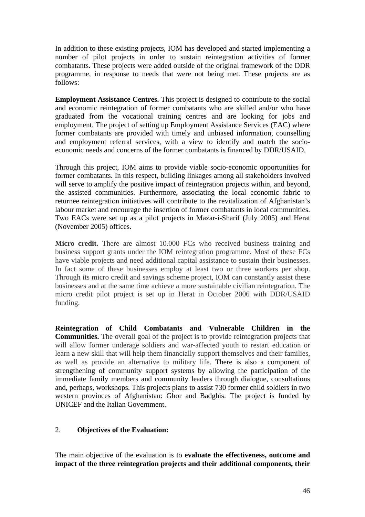In addition to these existing projects, IOM has developed and started implementing a number of pilot projects in order to sustain reintegration activities of former combatants. These projects were added outside of the original framework of the DDR programme, in response to needs that were not being met. These projects are as follows:

**Employment Assistance Centres.** This project is designed to contribute to the social and economic reintegration of former combatants who are skilled and/or who have graduated from the vocational training centres and are looking for jobs and employment. The project of setting up Employment Assistance Services (EAC) where former combatants are provided with timely and unbiased information, counselling and employment referral services, with a view to identify and match the socioeconomic needs and concerns of the former combatants is financed by DDR/USAID.

Through this project, IOM aims to provide viable socio-economic opportunities for former combatants. In this respect, building linkages among all stakeholders involved will serve to amplify the positive impact of reintegration projects within, and beyond, the assisted communities. Furthermore, associating the local economic fabric to returnee reintegration initiatives will contribute to the revitalization of Afghanistan's labour market and encourage the insertion of former combatants in local communities. Two EACs were set up as a pilot projects in Mazar-i-Sharif (July 2005) and Herat (November 2005) offices.

**Micro credit.** There are almost 10.000 FCs who received business training and business support grants under the IOM reintegration programme. Most of these FCs have viable projects and need additional capital assistance to sustain their businesses. In fact some of these businesses employ at least two or three workers per shop. Through its micro credit and savings scheme project, IOM can constantly assist these businesses and at the same time achieve a more sustainable civilian reintegration. The micro credit pilot project is set up in Herat in October 2006 with DDR/USAID funding.

**Reintegration of Child Combatants and Vulnerable Children in the Communities.** The overall goal of the project is to provide reintegration projects that will allow former underage soldiers and war-affected youth to restart education or learn a new skill that will help them financially support themselves and their families, as well as provide an alternative to military life. There is also a component of strengthening of community support systems by allowing the participation of the immediate family members and community leaders through dialogue, consultations and, perhaps, workshops. This projects plans to assist 730 former child soldiers in two western provinces of Afghanistan: Ghor and Badghis. The project is funded by UNICEF and the Italian Government.

### 2. **Objectives of the Evaluation:**

The main objective of the evaluation is to **evaluate the effectiveness, outcome and impact of the three reintegration projects and their additional components, their**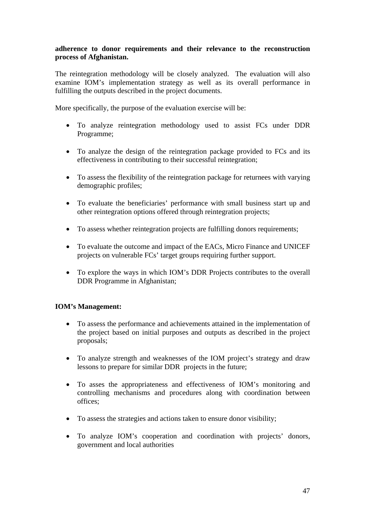#### **adherence to donor requirements and their relevance to the reconstruction process of Afghanistan.**

The reintegration methodology will be closely analyzed. The evaluation will also examine IOM's implementation strategy as well as its overall performance in fulfilling the outputs described in the project documents.

More specifically, the purpose of the evaluation exercise will be:

- To analyze reintegration methodology used to assist FCs under DDR Programme;
- To analyze the design of the reintegration package provided to FCs and its effectiveness in contributing to their successful reintegration;
- To assess the flexibility of the reintegration package for returnees with varying demographic profiles;
- To evaluate the beneficiaries' performance with small business start up and other reintegration options offered through reintegration projects;
- To assess whether reintegration projects are fulfilling donors requirements;
- To evaluate the outcome and impact of the EACs, Micro Finance and UNICEF projects on vulnerable FCs' target groups requiring further support.
- To explore the ways in which IOM's DDR Projects contributes to the overall DDR Programme in Afghanistan;

### **IOM's Management:**

- To assess the performance and achievements attained in the implementation of the project based on initial purposes and outputs as described in the project proposals;
- To analyze strength and weaknesses of the IOM project's strategy and draw lessons to prepare for similar DDR projects in the future;
- To asses the appropriateness and effectiveness of IOM's monitoring and controlling mechanisms and procedures along with coordination between offices;
- To assess the strategies and actions taken to ensure donor visibility;
- To analyze IOM's cooperation and coordination with projects' donors, government and local authorities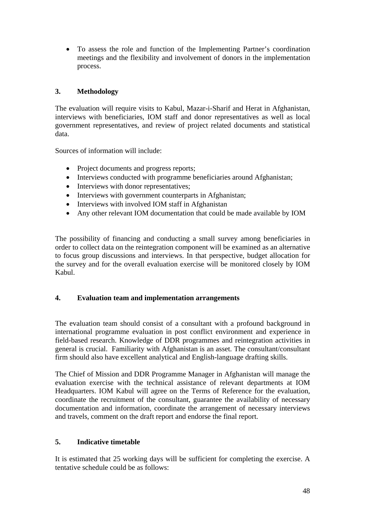• To assess the role and function of the Implementing Partner's coordination meetings and the flexibility and involvement of donors in the implementation process.

### **3. Methodology**

The evaluation will require visits to Kabul, Mazar-i-Sharif and Herat in Afghanistan, interviews with beneficiaries, IOM staff and donor representatives as well as local government representatives, and review of project related documents and statistical data.

Sources of information will include:

- Project documents and progress reports;
- Interviews conducted with programme beneficiaries around Afghanistan;
- Interviews with donor representatives;
- Interviews with government counterparts in Afghanistan;
- Interviews with involved IOM staff in Afghanistan
- Any other relevant IOM documentation that could be made available by IOM

The possibility of financing and conducting a small survey among beneficiaries in order to collect data on the reintegration component will be examined as an alternative to focus group discussions and interviews. In that perspective, budget allocation for the survey and for the overall evaluation exercise will be monitored closely by IOM Kabul.

#### **4. Evaluation team and implementation arrangements**

The evaluation team should consist of a consultant with a profound background in international programme evaluation in post conflict environment and experience in field-based research. Knowledge of DDR programmes and reintegration activities in general is crucial. Familiarity with Afghanistan is an asset. The consultant/consultant firm should also have excellent analytical and English-language drafting skills.

The Chief of Mission and DDR Programme Manager in Afghanistan will manage the evaluation exercise with the technical assistance of relevant departments at IOM Headquarters. IOM Kabul will agree on the Terms of Reference for the evaluation, coordinate the recruitment of the consultant, guarantee the availability of necessary documentation and information, coordinate the arrangement of necessary interviews and travels, comment on the draft report and endorse the final report.

### **5. Indicative timetable**

It is estimated that 25 working days will be sufficient for completing the exercise. A tentative schedule could be as follows: